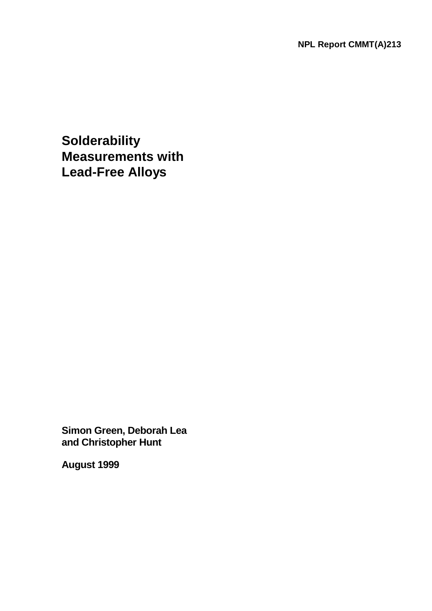**Solderability Measurements with Lead-Free Alloys**

**Simon Green, Deborah Lea and Christopher Hunt**

**August 1999**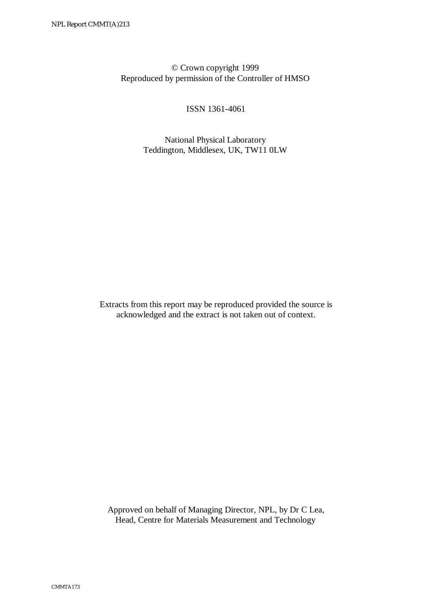© Crown copyright 1999 Reproduced by permission of the Controller of HMSO

ISSN 1361-4061

 National Physical Laboratory Teddington, Middlesex, UK, TW11 0LW

Extracts from this report may be reproduced provided the source is acknowledged and the extract is not taken out of context.

Approved on behalf of Managing Director, NPL, by Dr C Lea, Head, Centre for Materials Measurement and Technology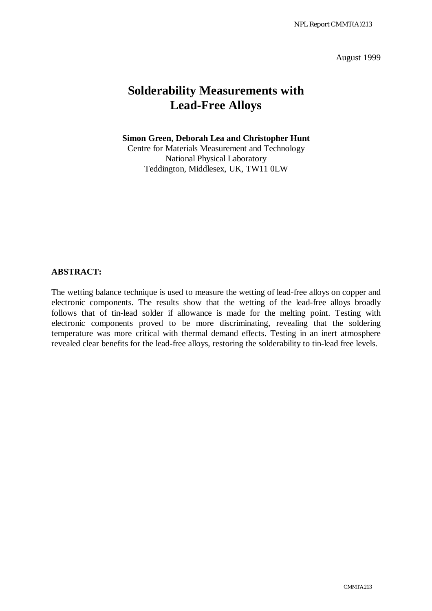August 1999

# **Solderability Measurements with Lead-Free Alloys**

#### **Simon Green, Deborah Lea and Christopher Hunt**

Centre for Materials Measurement and Technology National Physical Laboratory Teddington, Middlesex, UK, TW11 0LW

#### **ABSTRACT:**

The wetting balance technique is used to measure the wetting of lead-free alloys on copper and electronic components. The results show that the wetting of the lead-free alloys broadly follows that of tin-lead solder if allowance is made for the melting point. Testing with electronic components proved to be more discriminating, revealing that the soldering temperature was more critical with thermal demand effects. Testing in an inert atmosphere revealed clear benefits for the lead-free alloys, restoring the solderability to tin-lead free levels.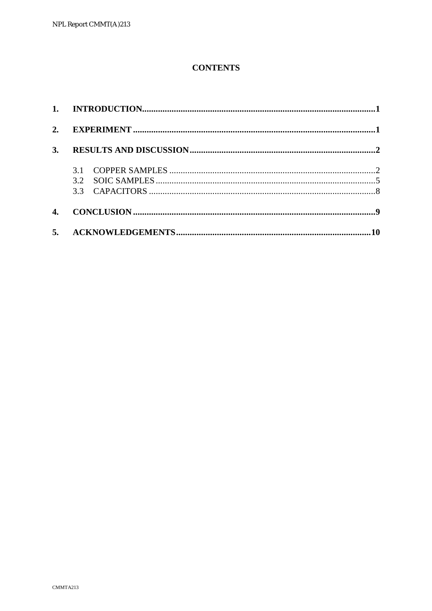### **CONTENTS**

| 2. |          |  |  |
|----|----------|--|--|
| 3. |          |  |  |
|    | 31<br>32 |  |  |
|    | 33       |  |  |
| 5. | 10       |  |  |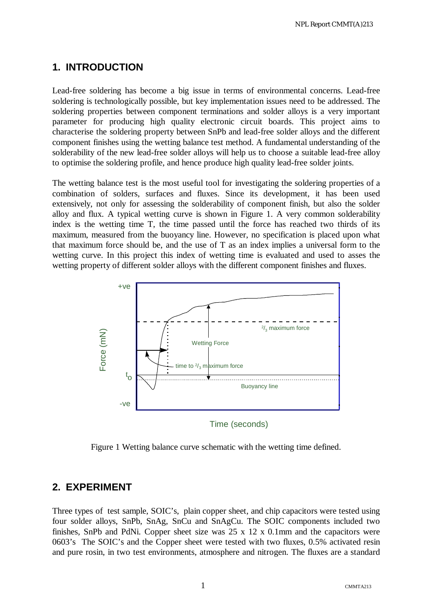### **1. INTRODUCTION**

Lead-free soldering has become a big issue in terms of environmental concerns. Lead-free soldering is technologically possible, but key implementation issues need to be addressed. The soldering properties between component terminations and solder alloys is a very important parameter for producing high quality electronic circuit boards. This project aims to characterise the soldering property between SnPb and lead-free solder alloys and the different component finishes using the wetting balance test method. A fundamental understanding of the solderability of the new lead-free solder alloys will help us to choose a suitable lead-free alloy to optimise the soldering profile, and hence produce high quality lead-free solder joints.

The wetting balance test is the most useful tool for investigating the soldering properties of a combination of solders, surfaces and fluxes. Since its development, it has been used extensively, not only for assessing the solderability of component finish, but also the solder alloy and flux. A typical wetting curve is shown in Figure 1. A very common solderability index is the wetting time T, the time passed until the force has reached two thirds of its maximum, measured from the buoyancy line. However, no specification is placed upon what that maximum force should be, and the use of T as an index implies a universal form to the wetting curve. In this project this index of wetting time is evaluated and used to asses the wetting property of different solder alloys with the different component finishes and fluxes.



Figure 1 Wetting balance curve schematic with the wetting time defined.

### **2. EXPERIMENT**

Three types of test sample, SOIC's, plain copper sheet, and chip capacitors were tested using four solder alloys, SnPb, SnAg, SnCu and SnAgCu. The SOIC components included two finishes, SnPb and PdNi. Copper sheet size was 25 x 12 x 0.1mm and the capacitors were 0603's The SOIC's and the Copper sheet were tested with two fluxes, 0.5% activated resin and pure rosin, in two test environments, atmosphere and nitrogen. The fluxes are a standard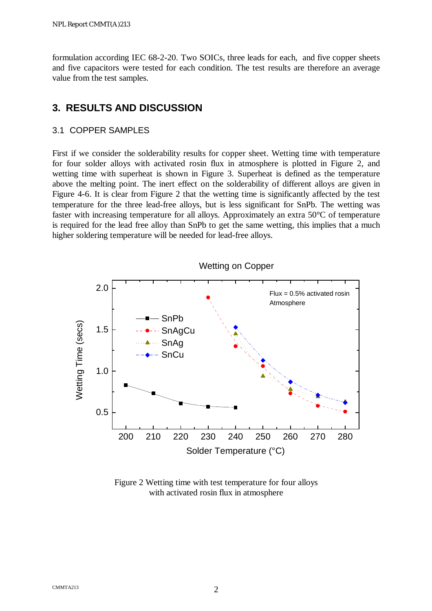formulation according IEC 68-2-20. Two SOICs, three leads for each, and five copper sheets and five capacitors were tested for each condition. The test results are therefore an average value from the test samples.

## **3. RESULTS AND DISCUSSION**

### 3.1 COPPER SAMPLES

First if we consider the solderability results for copper sheet. Wetting time with temperature for four solder alloys with activated rosin flux in atmosphere is plotted in Figure 2, and wetting time with superheat is shown in Figure 3. Superheat is defined as the temperature above the melting point. The inert effect on the solderability of different alloys are given in Figure 4-6. It is clear from Figure 2 that the wetting time is significantly affected by the test temperature for the three lead-free alloys, but is less significant for SnPb. The wetting was faster with increasing temperature for all alloys. Approximately an extra 50°C of temperature is required for the lead free alloy than SnPb to get the same wetting, this implies that a much higher soldering temperature will be needed for lead-free alloys.



Figure 2 Wetting time with test temperature for four alloys with activated rosin flux in atmosphere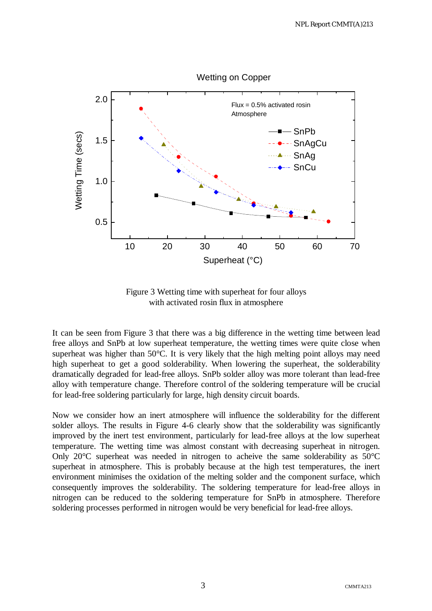

Figure 3 Wetting time with superheat for four alloys with activated rosin flux in atmosphere

It can be seen from Figure 3 that there was a big difference in the wetting time between lead free alloys and SnPb at low superheat temperature, the wetting times were quite close when superheat was higher than 50°C. It is very likely that the high melting point alloys may need high superheat to get a good solderability. When lowering the superheat, the solderability dramatically degraded for lead-free alloys. SnPb solder alloy was more tolerant than lead-free alloy with temperature change. Therefore control of the soldering temperature will be crucial for lead-free soldering particularly for large, high density circuit boards.

Now we consider how an inert atmosphere will influence the solderability for the different solder alloys. The results in Figure 4-6 clearly show that the solderability was significantly improved by the inert test environment, particularly for lead-free alloys at the low superheat temperature. The wetting time was almost constant with decreasing superheat in nitrogen. Only 20 $\degree$ C superheat was needed in nitrogen to acheive the same solderability as 50 $\degree$ C superheat in atmosphere. This is probably because at the high test temperatures, the inert environment minimises the oxidation of the melting solder and the component surface, which consequently improves the solderability. The soldering temperature for lead-free alloys in nitrogen can be reduced to the soldering temperature for SnPb in atmosphere. Therefore soldering processes performed in nitrogen would be very beneficial for lead-free alloys.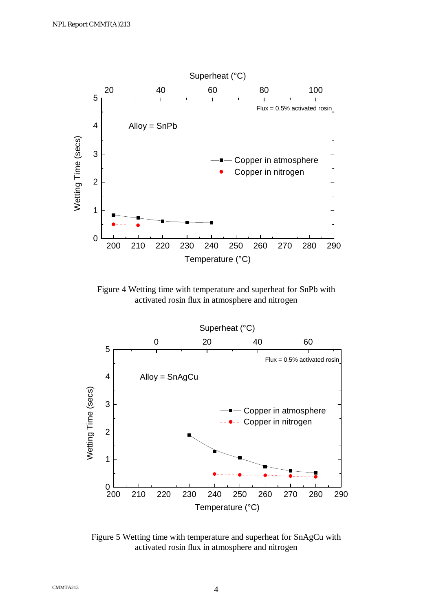

Figure 4 Wetting time with temperature and superheat for SnPb with activated rosin flux in atmosphere and nitrogen



Figure 5 Wetting time with temperature and superheat for SnAgCu with activated rosin flux in atmosphere and nitrogen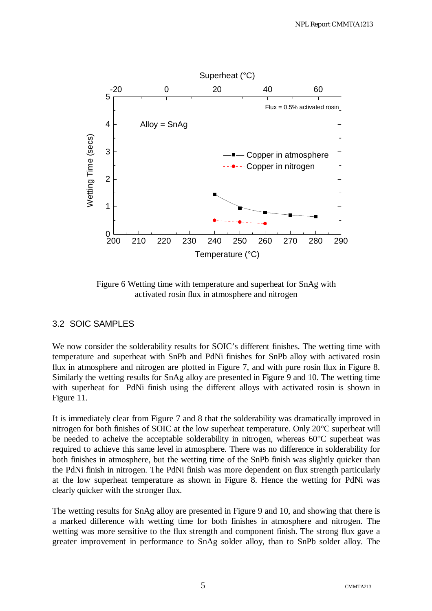

Figure 6 Wetting time with temperature and superheat for SnAg with activated rosin flux in atmosphere and nitrogen

### 3.2 SOIC SAMPLES

We now consider the solderability results for SOIC's different finishes. The wetting time with temperature and superheat with SnPb and PdNi finishes for SnPb alloy with activated rosin flux in atmosphere and nitrogen are plotted in Figure 7, and with pure rosin flux in Figure 8. Similarly the wetting results for SnAg alloy are presented in Figure 9 and 10. The wetting time with superheat for PdNi finish using the different alloys with activated rosin is shown in Figure 11.

It is immediately clear from Figure 7 and 8 that the solderability was dramatically improved in nitrogen for both finishes of SOIC at the low superheat temperature. Only 20°C superheat will be needed to acheive the acceptable solderability in nitrogen, whereas 60°C superheat was required to achieve this same level in atmosphere. There was no difference in solderability for both finishes in atmosphere, but the wetting time of the SnPb finish was slightly quicker than the PdNi finish in nitrogen. The PdNi finish was more dependent on flux strength particularly at the low superheat temperature as shown in Figure 8. Hence the wetting for PdNi was clearly quicker with the stronger flux.

The wetting results for SnAg alloy are presented in Figure 9 and 10, and showing that there is a marked difference with wetting time for both finishes in atmosphere and nitrogen. The wetting was more sensitive to the flux strength and component finish. The strong flux gave a greater improvement in performance to SnAg solder alloy, than to SnPb solder alloy. The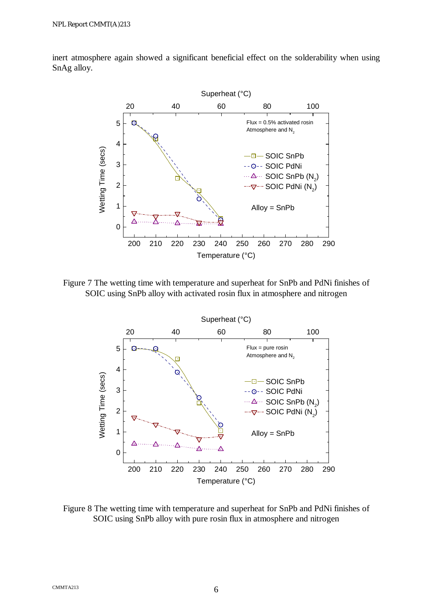inert atmosphere again showed a significant beneficial effect on the solderability when using SnAg alloy.



Figure 7 The wetting time with temperature and superheat for SnPb and PdNi finishes of SOIC using SnPb alloy with activated rosin flux in atmosphere and nitrogen



Figure 8 The wetting time with temperature and superheat for SnPb and PdNi finishes of SOIC using SnPb alloy with pure rosin flux in atmosphere and nitrogen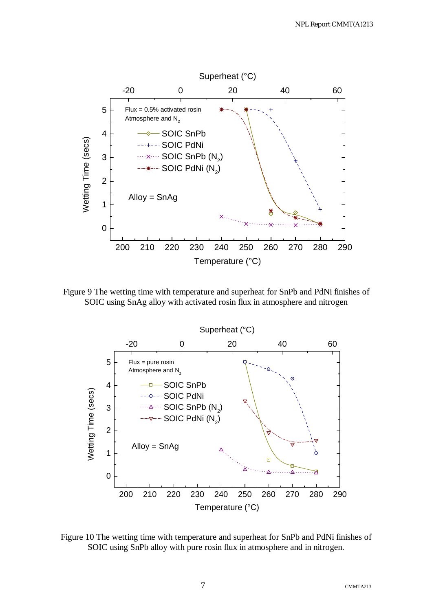

Figure 9 The wetting time with temperature and superheat for SnPb and PdNi finishes of SOIC using SnAg alloy with activated rosin flux in atmosphere and nitrogen



Figure 10 The wetting time with temperature and superheat for SnPb and PdNi finishes of SOIC using SnPb alloy with pure rosin flux in atmosphere and in nitrogen.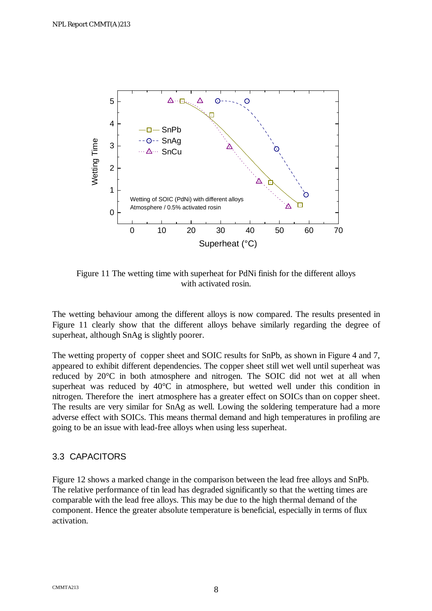

 Figure 11 The wetting time with superheat for PdNi finish for the different alloys with activated rosin.

The wetting behaviour among the different alloys is now compared. The results presented in Figure 11 clearly show that the different alloys behave similarly regarding the degree of superheat, although SnAg is slightly poorer.

The wetting property of copper sheet and SOIC results for SnPb, as shown in Figure 4 and 7, appeared to exhibit different dependencies. The copper sheet still wet well until superheat was reduced by 20°C in both atmosphere and nitrogen. The SOIC did not wet at all when superheat was reduced by 40°C in atmosphere, but wetted well under this condition in nitrogen. Therefore the inert atmosphere has a greater effect on SOICs than on copper sheet. The results are very similar for SnAg as well. Lowing the soldering temperature had a more adverse effect with SOICs. This means thermal demand and high temperatures in profiling are going to be an issue with lead-free alloys when using less superheat.

### 3.3 CAPACITORS

Figure 12 shows a marked change in the comparison between the lead free alloys and SnPb. The relative performance of tin lead has degraded significantly so that the wetting times are comparable with the lead free alloys. This may be due to the high thermal demand of the component. Hence the greater absolute temperature is beneficial, especially in terms of flux activation.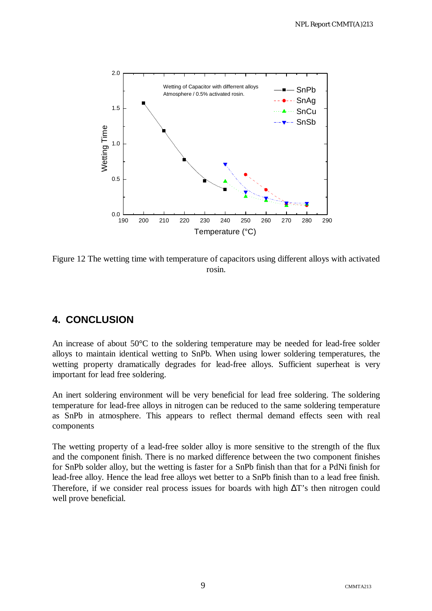

 Figure 12 The wetting time with temperature of capacitors using different alloys with activated rosin.

### **4. CONCLUSION**

An increase of about 50°C to the soldering temperature may be needed for lead-free solder alloys to maintain identical wetting to SnPb. When using lower soldering temperatures, the wetting property dramatically degrades for lead-free alloys. Sufficient superheat is very important for lead free soldering.

An inert soldering environment will be very beneficial for lead free soldering. The soldering temperature for lead-free alloys in nitrogen can be reduced to the same soldering temperature as SnPb in atmosphere. This appears to reflect thermal demand effects seen with real components

The wetting property of a lead-free solder alloy is more sensitive to the strength of the flux and the component finish. There is no marked difference between the two component finishes for SnPb solder alloy, but the wetting is faster for a SnPb finish than that for a PdNi finish for lead-free alloy. Hence the lead free alloys wet better to a SnPb finish than to a lead free finish. Therefore, if we consider real process issues for boards with high ∆T's then nitrogen could well prove beneficial.